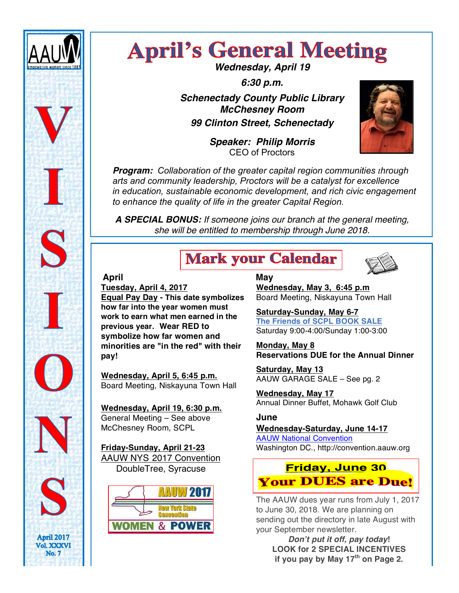

# **April's General Meeting**

*Wednesday, April 19*

*6:30 p.m.*

*Schenectady County Public Library McChesney Room 99 Clinton Street, Schenectady*

> *Speaker: Philip Morris* CEO of Proctors



*Program: Collaboration of the greater capital region communities through arts and community leadership, Proctors will be a catalyst for excellence in education, sustainable economic development, and rich civic engagement to enhance the quality of life in the greater Capital Region.*

*A SPECIAL BONUS: If someone joins our branch at the general meeting, she will be entitled to membership through June 2018.*

# **Mark your Calendar**



# **April May**

**Tuesday, April 4, 2017 Equal Pay Day - This date symbolizes how far into the year women must work to earn what men earned in the previous year. Wear RED to symbolize how far women and minorities are "in the red" with their pay!** 

**Wednesday, April 5, 6:45 p.m.** Board Meeting, Niskayuna Town Hall

**Wednesday, April 19, 6:30 p.m.**  General Meeting – See above McChesney Room, SCPL

**Friday-Sunday, April 21-23** AAUW NYS 2017 Convention DoubleTree, Syracuse



**Wednesday, May 3, 6:45 p.m** Board Meeting, Niskayuna Town Hall

**Saturday-Sunday, May 6-7 The Friends of SCPL BOOK SALE** Saturday 9:00-4:00/Sunday 1:00-3:00

**Monday, May 8 Reservations DUE for the Annual Dinner**

**Saturday, May 13** AAUW GARAGE SALE – See pg. 2

**Wednesday, May 17** Annual Dinner Buffet, Mohawk Golf Club

# **June**

**Wednesday-Saturday, June 14-17** AAUW National Convention Washington DC., http://convention.aauw.org



The AAUW dues year runs from July 1, 2017 to June 30, 2018. We are planning on sending out the directory in late August with your September newsletter.

*Don't put it off, pay today***! LOOK for 2 SPECIAL INCENTIVES if you pay by May 17<sup>th</sup> on Page 2.**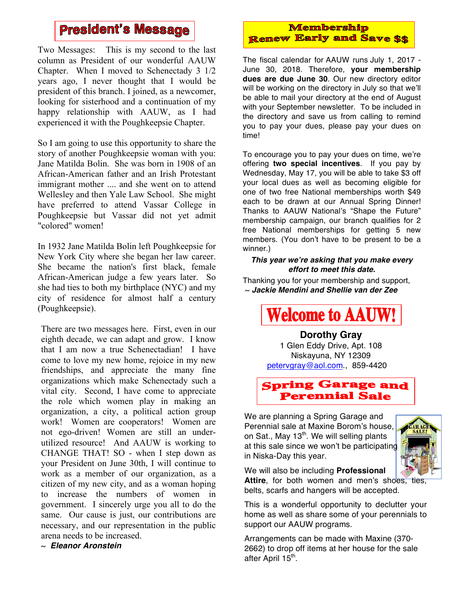# **President's Message**

Two Messages: This is my second to the last column as President of our wonderful AAUW Chapter. When I moved to Schenectady 3 1/2 years ago, I never thought that I would be president of this branch. I joined, as a newcomer, looking for sisterhood and a continuation of my happy relationship with AAUW, as I had experienced it with the Poughkeepsie Chapter.

So I am going to use this opportunity to share the story of another Poughkeepsie woman with you: Jane Matilda Bolin. She was born in 1908 of an African-American father and an Irish Protestant immigrant mother .... and she went on to attend Wellesley and then Yale Law School. She might have preferred to attend Vassar College in Poughkeepsie but Vassar did not yet admit "colored" women!

In 1932 Jane Matilda Bolin left Poughkeepsie for New York City where she began her law career. She became the nation's first black, female African-American judge a few years later. So she had ties to both my birthplace (NYC) and my city of residence for almost half a century (Poughkeepsie).

There are two messages here. First, even in our eighth decade, we can adapt and grow. I know that I am now a true Schenectadian! I have come to love my new home, rejoice in my new friendships, and appreciate the many fine organizations which make Schenectady such a vital city. Second, I have come to appreciate the role which women play in making an organization, a city, a political action group work! Women are cooperators! Women are not ego-driven! Women are still an underutilized resource! And AAUW is working to CHANGE THAT! SO - when I step down as your President on June 30th, I will continue to work as a member of our organization, as a citizen of my new city, and as a woman hoping to increase the numbers of women in government. I sincerely urge you all to do the same. Our cause is just, our contributions are necessary, and our representation in the public arena needs to be increased.

~ *Eleanor Aronstein*

# **Membership Renew Early and Save \$\$**

The fiscal calendar for AAUW runs July 1, 2017 - June 30, 2018. Therefore, **your membership dues are due June 30**. Our new directory editor will be working on the directory in July so that we'll be able to mail your directory at the end of August with your September newsletter. To be included in the directory and save us from calling to remind you to pay your dues, please pay your dues on time!

To encourage you to pay your dues on time, we're offering **two special incentives**. If you pay by Wednesday, May 17, you will be able to take \$3 off your local dues as well as becoming eligible for one of two free National memberships worth \$49 each to be drawn at our Annual Spring Dinner! Thanks to AAUW National's "Shape the Future" membership campaign, our branch qualifies for 2 free National memberships for getting 5 new members. (You don't have to be present to be a winner.)

#### *This year we're asking that you make every effort to meet this date.*

Thanking you for your membership and support, ~ *Jackie Mendini and Shellie van der Zee*

# **Welcome to AAUW!**

**Dorothy Gray** 1 Glen Eddy Drive, Apt. 108 Niskayuna, NY 12309 petervgray@aol.com., 859-4420



We are planning a Spring Garage and Perennial sale at Maxine Borom's house, on Sat., May  $13<sup>th</sup>$ . We will selling plants at this sale since we won't be participating in Niska-Day this year.



We will also be including **Professional**  Attire, for both women and men's shoes, ties, belts, scarfs and hangers will be accepted.

This is a wonderful opportunity to declutter your home as well as share some of your perennials to support our AAUW programs.

Arrangements can be made with Maxine (370- 2662) to drop off items at her house for the sale after April 15<sup>th</sup>.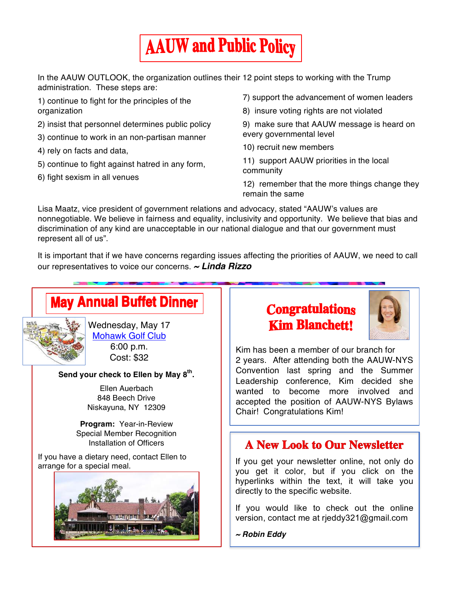# **AAUW** and Public Policy

In the AAUW OUTLOOK, the organization outlines their 12 point steps to working with the Trump administration. These steps are:

1) continue to fight for the principles of the organization

- 2) insist that personnel determines public policy
- 3) continue to work in an non-partisan manner
- 4) rely on facts and data,
- 5) continue to fight against hatred in any form,
- 6) fight sexism in all venues

7) support the advancement of women leaders

8) insure voting rights are not violated

9) make sure that AAUW message is heard on every governmental level

10) recruit new members

11) support AAUW priorities in the local community

12) remember that the more things change they remain the same

Lisa Maatz, vice president of government relations and advocacy, stated "AAUW's values are nonnegotiable. We believe in fairness and equality, inclusivity and opportunity. We believe that bias and discrimination of any kind are unacceptable in our national dialogue and that our government must represent all of us".

It is important that if we have concerns regarding issues affecting the priorities of AAUW, we need to call our representatives to voice our concerns. *~ Linda Rizzo*

# **May Annual Buffet Dinner**



 Wednesday, May 17 Mohawk Golf Club 6:00 p.m. Cost: \$32

# **Send your check to Ellen by May 8th.**

Ellen Auerbach 848 Beech Drive Niskayuna, NY 12309

**Program:** Year-in-Review Special Member Recognition Installation of Officers

If you have a dietary need, contact Ellen to arrange for a special meal.







Kim has been a member of our branch for 2 years. After attending both the AAUW-NYS Convention last spring and the Summer Leadership conference, Kim decided she wanted to become more involved and accepted the position of AAUW-NYS Bylaws Chair! Congratulations Kim!

# **A New Look to Our Newsletter**

If you get your newsletter online, not only do you get it color, but if you click on the hyperlinks within the text, it will take you directly to the specific website.

If you would like to check out the online version, contact me at rjeddy321@gmail.com

*~ Robin Eddy*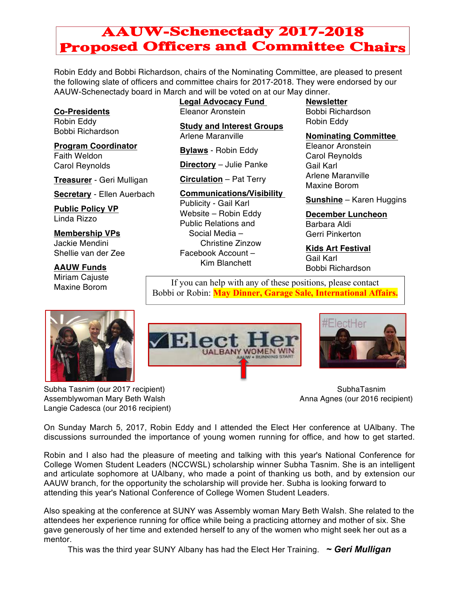# **AAUW-Schenectady 2017-2018 Proposed Officers and Committee Chairs**

Robin Eddy and Bobbi Richardson, chairs of the Nominating Committee, are pleased to present the following slate of officers and committee chairs for 2017-2018. They were endorsed by our AAUW-Schenectady board in March and will be voted on at our May dinner.

#### **Co-Presidents**

Robin Eddy Bobbi Richardson

**Program Coordinator** Faith Weldon Carol Reynolds

**Treasurer** - Geri Mulligan

**Secretary** - Ellen Auerbach

**Public Policy VP** Linda Rizzo

# **Membership VPs**

Jackie Mendini Shellie van der Zee

#### **AAUW Funds** Miriam Cajuste Maxine Borom

**Legal Advocacy Fund Newsletter** 

Eleanor Aronstein

**Study and Interest Groups** Arlene Maranville

**Bylaws** - Robin Eddy

**Directory** – Julie Panke

**Circulation** – Pat Terry

# **Communications/Visibility**

Publicity - Gail Karl Website – Robin Eddy Public Relations and Social Media – Christine Zinzow Facebook Account – Kim Blanchett

# Bobbi Richardson Robin Eddy

**Nominating Committee**

Eleanor Aronstein Carol Reynolds Gail Karl Arlene Maranville Maxine Borom

**Sunshine** – Karen Huggins

**December Luncheon** Barbara Aldi Gerri Pinkerton

**Kids Art Festival** Gail Karl Bobbi Richardson

If you can help with any of these positions, please contact Bobbi or Robin: **May Dinner, Garage Sale, International Affairs.**



Subha Tasnim (our 2017 recipient) Subhan Subha Tasnim SubhaTasnim Assemblywoman Mary Beth Walsh Anna Agnes (our 2016 recipient) Langie Cadesca (our 2016 recipient)





On Sunday March 5, 2017, Robin Eddy and I attended the Elect Her conference at UAlbany. The discussions surrounded the importance of young women running for office, and how to get started.

Robin and I also had the pleasure of meeting and talking with this year's National Conference for College Women Student Leaders (NCCWSL) scholarship winner Subha Tasnim. She is an intelligent and articulate sophomore at UAlbany, who made a point of thanking us both, and by extension our AAUW branch, for the opportunity the scholarship will provide her. Subha is looking forward to attending this year's National Conference of College Women Student Leaders.

Also speaking at the conference at SUNY was Assembly woman Mary Beth Walsh. She related to the attendees her experience running for office while being a practicing attorney and mother of six. She gave generously of her time and extended herself to any of the women who might seek her out as a mentor.

This was the third year SUNY Albany has had the Elect Her Training. *~ Geri Mulligan*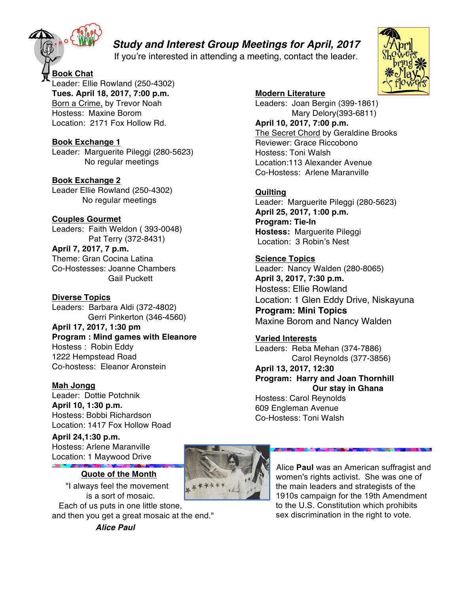# *Study and Interest Group Meetings for April, 2017*

If you're interested in attending a meeting, contact the leader.

# **Book Chat**

Leader: Ellie Rowland (250-4302) **Tues. April 18, 2017, 7:00 p.m.** Born a Crime, by Trevor Noah Hostess: Maxine Borom Location: 2171 Fox Hollow Rd.

**Book Exchange 1** Leader: Marguerite Pileggi (280-5623) No regular meetings

**Book Exchange 2** Leader Ellie Rowland (250-4302) No regular meetings

# **Couples Gourmet**

Leaders: Faith Weldon ( 393-0048) Pat Terry (372-8431) **April 7, 2017, 7 p.m.** Theme: Gran Cocina Latina Co-Hostesses: Joanne Chambers Gail Puckett

**Diverse Topics** Leaders: Barbara Aldi (372-4802) Gerri Pinkerton (346-4560) **April 17, 2017, 1:30 pm Program : Mind games with Eleanore**  Hostess : Robin Eddy 1222 Hempstead Road Co-hostess: Eleanor Aronstein

**Mah Jongg** Leader: Dottie Potchnik **April 10, 1:30 p.m.** Hostess: Bobbi Richardson Location: 1417 Fox Hollow Road

**April 24,1:30 p.m.** Hostess: Arlene Maranville Location: 1 Maywood Drive

# **Quote of the Month**

 "I always feel the movement is a sort of mosaic.

 Each of us puts in one little stone, and then you get a great mosaic at the end."

 *Alice Paul*



Alice **Paul** was an American suffragist and women's rights activist. She was one of the main leaders and strategists of the 1910s campaign for the 19th Amendment to the U.S. Constitution which prohibits sex discrimination in the right to vote.

**Modern Literature** Leaders: Joan Bergin (399-1861) Mary Delory(393-6811) **April 10, 2017, 7:00 p.m.**  The Secret Chord by Geraldine Brooks Reviewer: Grace Riccobono Hostess: Toni Walsh Location:113 Alexander Avenue Co-Hostess: Arlene Maranville

### **Quilting**

Leader: Marguerite Pileggi (280-5623) **April 25, 2017, 1:00 p.m. Program: Tie-In Hostess:** Marguerite Pileggi Location: 3 Robin's Nest

**Science Topics**

Leader: Nancy Walden (280-8065) **April 3, 2017, 7:30 p.m.** Hostess: Ellie Rowland Location: 1 Glen Eddy Drive, Niskayuna **Program: Mini Topics**

Maxine Borom and Nancy Walden

**Varied Interests**

Leaders: Reba Mehan (374-7886) Carol Reynolds (377-3856) **April 13, 2017, 12:30 Program: Harry and Joan Thornhill Our stay in Ghana** Hostess: Carol Reynolds

609 Engleman Avenue Co-Hostess: Toni Walsh

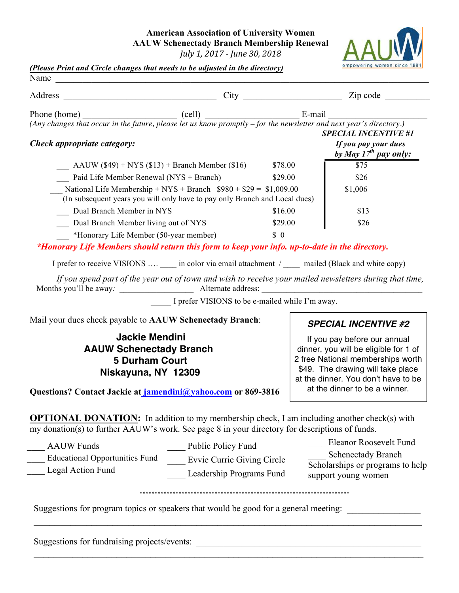**American Association of University Women AAUW Schenectady Branch Membership Renewal**

*July* 1, 2017 - *June* 30, 2018



# *(Please Print and Circle changes that needs to be adjusted in the directory)*

| Phone (home) $\frac{1}{(Any \ change \ that \ occur \ in \ the \ future, please \ let \ us \ know \ promptly - for \ the \ new \ select \ and \ next \ year's \ directory.)}$                        |                                                 |               |                                                                                                         |  |
|------------------------------------------------------------------------------------------------------------------------------------------------------------------------------------------------------|-------------------------------------------------|---------------|---------------------------------------------------------------------------------------------------------|--|
| Check appropriate category:                                                                                                                                                                          |                                                 |               | <b>SPECIAL INCENTIVE #1</b><br>If you pay your dues<br>by May $17^{th}$ pay only:                       |  |
| $\frac{\text{A}}{\text{A}}$ AAUW (\$49) + NYS (\$13) + Branch Member (\$16)                                                                                                                          |                                                 | \$78.00       | \$75                                                                                                    |  |
| Paid Life Member Renewal (NYS + Branch)                                                                                                                                                              |                                                 | \$29.00       | \$26                                                                                                    |  |
| National Life Membership + NYS + Branch $$980 + $29 = $1,009.00$<br>(In subsequent years you will only have to pay only Branch and Local dues)                                                       |                                                 |               | \$1,006                                                                                                 |  |
| Dual Branch Member in NYS                                                                                                                                                                            |                                                 | \$16.00       | \$13                                                                                                    |  |
| Dual Branch Member living out of NYS                                                                                                                                                                 |                                                 | \$29.00       | \$26                                                                                                    |  |
| *Honorary Life Member (50-year member)                                                                                                                                                               |                                                 | $\frac{1}{2}$ |                                                                                                         |  |
| *Honorary Life Members should return this form to keep your info. up-to-date in the directory.                                                                                                       |                                                 |               |                                                                                                         |  |
| I prefer to receive VISIONS  in color via email attachment / mailed (Black and white copy)                                                                                                           |                                                 |               |                                                                                                         |  |
| Months you'll be away.                                                                                                                                                                               |                                                 |               | If you spend part of the year out of town and wish to receive your mailed newsletters during that time, |  |
|                                                                                                                                                                                                      | I prefer VISIONS to be e-mailed while I'm away. |               |                                                                                                         |  |
| Mail your dues check payable to <b>AAUW</b> Schenectady Branch:<br><b>Jackie Mendini</b>                                                                                                             |                                                 |               | <b>SPECIAL INCENTIVE #2</b>                                                                             |  |
|                                                                                                                                                                                                      |                                                 |               | If you pay before our annual                                                                            |  |
| <b>AAUW Schenectady Branch</b>                                                                                                                                                                       |                                                 |               | dinner, you will be eligible for 1 of                                                                   |  |
| <b>5 Durham Court</b>                                                                                                                                                                                |                                                 |               | 2 free National memberships worth                                                                       |  |
| Niskayuna, NY 12309                                                                                                                                                                                  |                                                 |               | \$49. The drawing will take place                                                                       |  |
|                                                                                                                                                                                                      |                                                 |               | at the dinner. You don't have to be<br>at the dinner to be a winner.                                    |  |
| Questions? Contact Jackie at jamendini@yahoo.com or 869-3816                                                                                                                                         |                                                 |               |                                                                                                         |  |
| <b>OPTIONAL DONATION:</b> In addition to my membership check, I am including another check(s) with<br>my donation(s) to further AAUW's work. See page 8 in your directory for descriptions of funds. |                                                 |               |                                                                                                         |  |
| <b>AAUW</b> Funds                                                                                                                                                                                    | ______ Public Policy Fund                       |               | Eleanor Roosevelt Fund                                                                                  |  |
| <b>Educational Opportunities Fund</b>                                                                                                                                                                | <b>Evvie Currie Giving Circle</b>               |               | <b>Schenectady Branch</b><br>Scholarships or programs to help<br>support young women                    |  |
| Legal Action Fund                                                                                                                                                                                    | Leadership Programs Fund                        |               |                                                                                                         |  |
|                                                                                                                                                                                                      |                                                 |               |                                                                                                         |  |
|                                                                                                                                                                                                      |                                                 |               |                                                                                                         |  |
| Suggestions for program topics or speakers that would be good for a general meeting:                                                                                                                 |                                                 |               |                                                                                                         |  |

 $\mathcal{L}_\mathcal{L} = \mathcal{L}_\mathcal{L} = \mathcal{L}_\mathcal{L} = \mathcal{L}_\mathcal{L} = \mathcal{L}_\mathcal{L} = \mathcal{L}_\mathcal{L} = \mathcal{L}_\mathcal{L} = \mathcal{L}_\mathcal{L} = \mathcal{L}_\mathcal{L} = \mathcal{L}_\mathcal{L} = \mathcal{L}_\mathcal{L} = \mathcal{L}_\mathcal{L} = \mathcal{L}_\mathcal{L} = \mathcal{L}_\mathcal{L} = \mathcal{L}_\mathcal{L} = \mathcal{L}_\mathcal{L} = \mathcal{L}_\mathcal{L}$ 

Suggestions for fundraising projects/events: \_\_\_\_\_\_\_\_\_\_\_\_\_\_\_\_\_\_\_\_\_\_\_\_\_\_\_\_\_\_\_\_\_\_\_